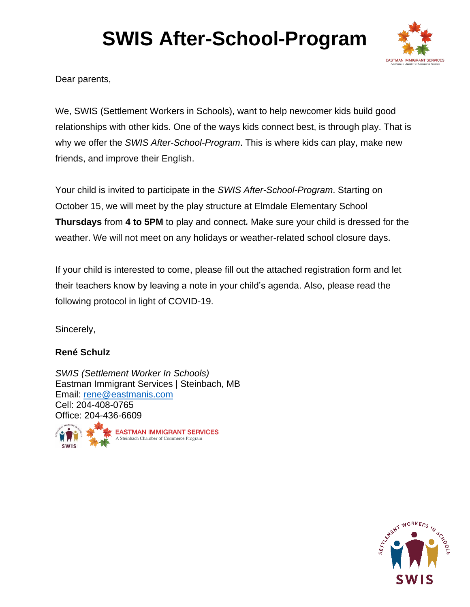

Dear parents,

We, SWIS (Settlement Workers in Schools), want to help newcomer kids build good relationships with other kids. One of the ways kids connect best, is through play. That is why we offer the *SWIS After-School-Program*. This is where kids can play, make new friends, and improve their English.

Your child is invited to participate in the *SWIS After-School-Program*. Starting on October 15, we will meet by the play structure at Elmdale Elementary School **Thursdays** from **4 to 5PM** to play and connect*.* Make sure your child is dressed for the weather. We will not meet on any holidays or weather-related school closure days.

If your child is interested to come, please fill out the attached registration form and let their teachers know by leaving a note in your child's agenda. Also, please read the following protocol in light of COVID-19.

Sincerely,

### **René Schulz**

*SWIS (Settlement Worker In Schools)* Eastman Immigrant Services | Steinbach, MB Email: [rene@eastmanis.com](mailto:rene@eastmanis.com) Cell: 204-408-0765 Office: 204-436-6609



**EASTMAN IMMIGRANT SERVICES** A Steinbach Chamber of Commerce Program

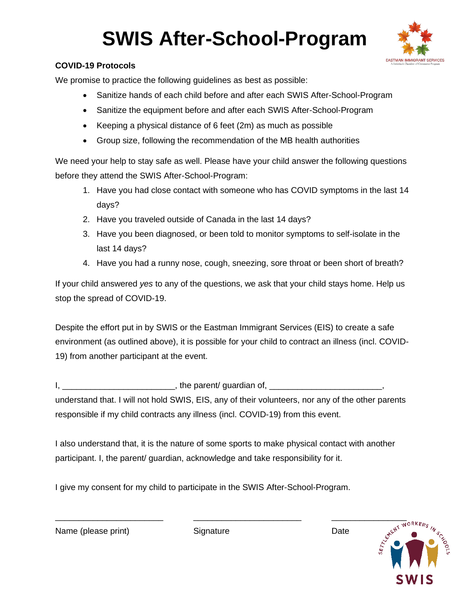

### **COVID-19 Protocols**

We promise to practice the following guidelines as best as possible:

- Sanitize hands of each child before and after each SWIS After-School-Program
- Sanitize the equipment before and after each SWIS After-School-Program
- Keeping a physical distance of 6 feet (2m) as much as possible
- Group size, following the recommendation of the MB health authorities

We need your help to stay safe as well. Please have your child answer the following questions before they attend the SWIS After-School-Program:

- 1. Have you had close contact with someone who has COVID symptoms in the last 14 days?
- 2. Have you traveled outside of Canada in the last 14 days?
- 3. Have you been diagnosed, or been told to monitor symptoms to self-isolate in the last 14 days?
- 4. Have you had a runny nose, cough, sneezing, sore throat or been short of breath?

If your child answered *yes* to any of the questions, we ask that your child stays home. Help us stop the spread of COVID-19.

Despite the effort put in by SWIS or the Eastman Immigrant Services (EIS) to create a safe environment (as outlined above), it is possible for your child to contract an illness (incl. COVID-19) from another participant at the event.

I, \_\_\_\_\_\_\_\_\_\_\_\_\_\_\_\_\_\_\_\_\_\_\_\_\_\_\_\_\_\_\_\_, the parent/ guardian of, \_\_\_\_\_\_\_\_\_\_\_\_\_\_\_\_\_\_ understand that. I will not hold SWIS, EIS, any of their volunteers, nor any of the other parents responsible if my child contracts any illness (incl. COVID-19) from this event.

I also understand that, it is the nature of some sports to make physical contact with another participant. I, the parent/ guardian, acknowledge and take responsibility for it.

I give my consent for my child to participate in the SWIS After-School-Program.

Name (please print) Signature Signature Date



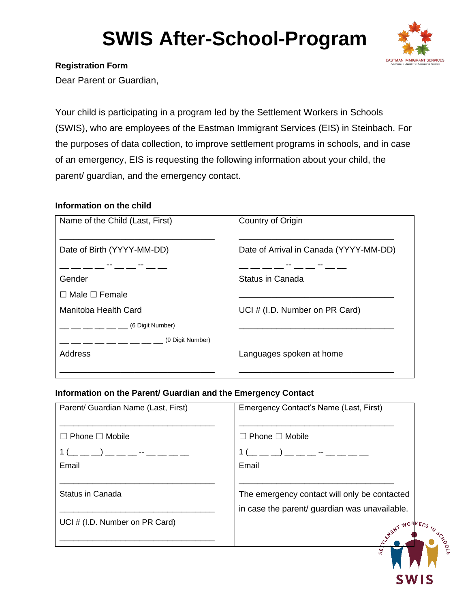

#### **Registration Form**

Dear Parent or Guardian,

Your child is participating in a program led by the Settlement Workers in Schools (SWIS), who are employees of the Eastman Immigrant Services (EIS) in Steinbach. For the purposes of data collection, to improve settlement programs in schools, and in case of an emergency, EIS is requesting the following information about your child, the parent/ guardian, and the emergency contact.

#### **Information on the child**

| Name of the Child (Last, First) | Country of Origin                      |
|---------------------------------|----------------------------------------|
|                                 |                                        |
| Date of Birth (YYYY-MM-DD)      | Date of Arrival in Canada (YYYY-MM-DD) |
|                                 | __ -- __ -- -- -                       |
| Gender                          | Status in Canada                       |
| $\Box$ Male $\Box$ Female       |                                        |
| Manitoba Health Card            | UCI # (I.D. Number on PR Card)         |
| (6 Digit Number)                |                                        |
| (9 Digit Number)                |                                        |
| <b>Address</b>                  | Languages spoken at home               |
|                                 |                                        |

#### **Information on the Parent/ Guardian and the Emergency Contact**

| Parent/ Guardian Name (Last, First) | Emergency Contact's Name (Last, First)                                                                                                                                                                                                                            |
|-------------------------------------|-------------------------------------------------------------------------------------------------------------------------------------------------------------------------------------------------------------------------------------------------------------------|
|                                     |                                                                                                                                                                                                                                                                   |
| $\Box$ Phone $\Box$ Mobile          | $\Box$ Phone $\Box$ Mobile                                                                                                                                                                                                                                        |
| 1 (__ __ _) __ __ -- __ __ __ __    | $1($ $\_\_$ $\_\_$ $)$ $\_\_$ $\_\_$ $\_\_$ $\_\_$ $\_\_$ $\_\_$ $\_\_$ $\_\_$ $\_\_$ $\_\_$ $\_\_$ $\_\_$ $\_\_$ $\_\_$ $\_\_$ $\_\_$ $\_\_$ $\_\_$ $\_\_$ $\_\_$ $\_\_$ $\_\_$ $\_\_$ $\_\_$ $\_\_$ $\_\_$ $\_\_$ $\_\_$ $\_\_$ $\_\_$ $\_\_$ $\_\_$ $\_\_$ $\$ |
| Email                               | Email                                                                                                                                                                                                                                                             |
|                                     |                                                                                                                                                                                                                                                                   |
| Status in Canada                    | The emergency contact will only be contacted                                                                                                                                                                                                                      |
|                                     | in case the parent/ guardian was unavailable.                                                                                                                                                                                                                     |
| UCI # (I.D. Number on PR Card)      |                                                                                                                                                                                                                                                                   |
|                                     | EXTENT WORKERS                                                                                                                                                                                                                                                    |
|                                     |                                                                                                                                                                                                                                                                   |